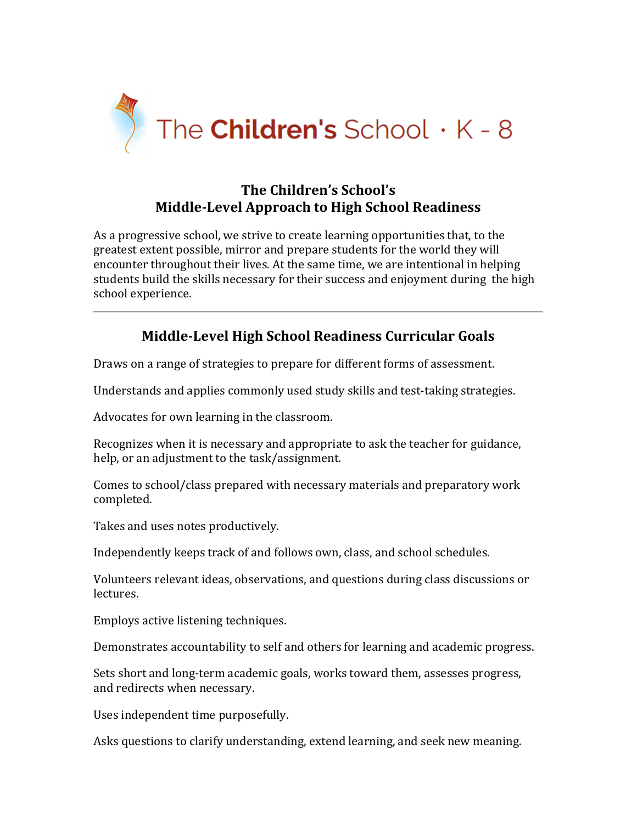

### **The Children's School's Middle-Level Approach to High School Readiness**

As a progressive school, we strive to create learning opportunities that, to the greatest extent possible, mirror and prepare students for the world they will encounter throughout their lives. At the same time, we are intentional in helping students build the skills necessary for their success and enjoyment during the high school experience.

# **Middle-Level High School Readiness Curricular Goals**

Draws on a range of strategies to prepare for different forms of assessment.

Understands and applies commonly used study skills and test-taking strategies.

Advocates for own learning in the classroom.

Recognizes when it is necessary and appropriate to ask the teacher for guidance, help, or an adjustment to the task/assignment.

Comes to school/class prepared with necessary materials and preparatory work completed.

Takes and uses notes productively.

Independently keeps track of and follows own, class, and school schedules.

Volunteers relevant ideas, observations, and questions during class discussions or lectures.

Employs active listening techniques.

Demonstrates accountability to self and others for learning and academic progress.

Sets short and long-term academic goals, works toward them, assesses progress, and redirects when necessary.

Uses independent time purposefully.

Asks questions to clarify understanding, extend learning, and seek new meaning.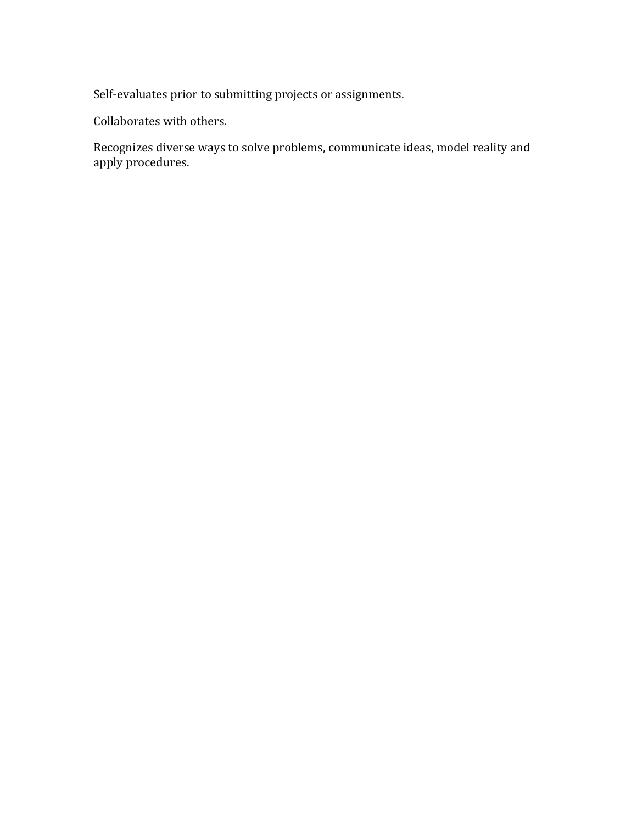Self-evaluates prior to submitting projects or assignments.

Collaborates with others.

Recognizes diverse ways to solve problems, communicate ideas, model reality and apply procedures.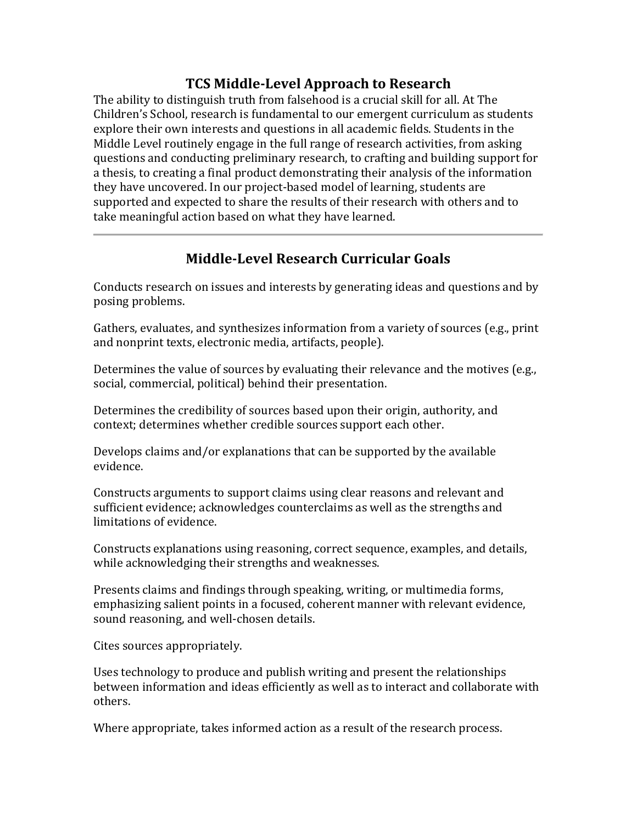### **TCS Middle-Level Approach to Research**

The ability to distinguish truth from falsehood is a crucial skill for all. At The Children's School, research is fundamental to our emergent curriculum as students explore their own interests and questions in all academic fields. Students in the Middle Level routinely engage in the full range of research activities, from asking questions and conducting preliminary research, to crafting and building support for a thesis, to creating a final product demonstrating their analysis of the information they have uncovered. In our project-based model of learning, students are supported and expected to share the results of their research with others and to take meaningful action based on what they have learned.

# **Middle-Level Research Curricular Goals**

Conducts research on issues and interests by generating ideas and questions and by posing problems.

Gathers, evaluates, and synthesizes information from a variety of sources (e.g., print and nonprint texts, electronic media, artifacts, people).

Determines the value of sources by evaluating their relevance and the motives (e.g., social, commercial, political) behind their presentation.

Determines the credibility of sources based upon their origin, authority, and context; determines whether credible sources support each other.

Develops claims and/or explanations that can be supported by the available evidence.

Constructs arguments to support claims using clear reasons and relevant and sufficient evidence; acknowledges counterclaims as well as the strengths and limitations of evidence.

Constructs explanations using reasoning, correct sequence, examples, and details, while acknowledging their strengths and weaknesses.

Presents claims and findings through speaking, writing, or multimedia forms, emphasizing salient points in a focused, coherent manner with relevant evidence, sound reasoning, and well-chosen details.

Cites sources appropriately.

Uses technology to produce and publish writing and present the relationships between information and ideas efficiently as well as to interact and collaborate with others.

Where appropriate, takes informed action as a result of the research process.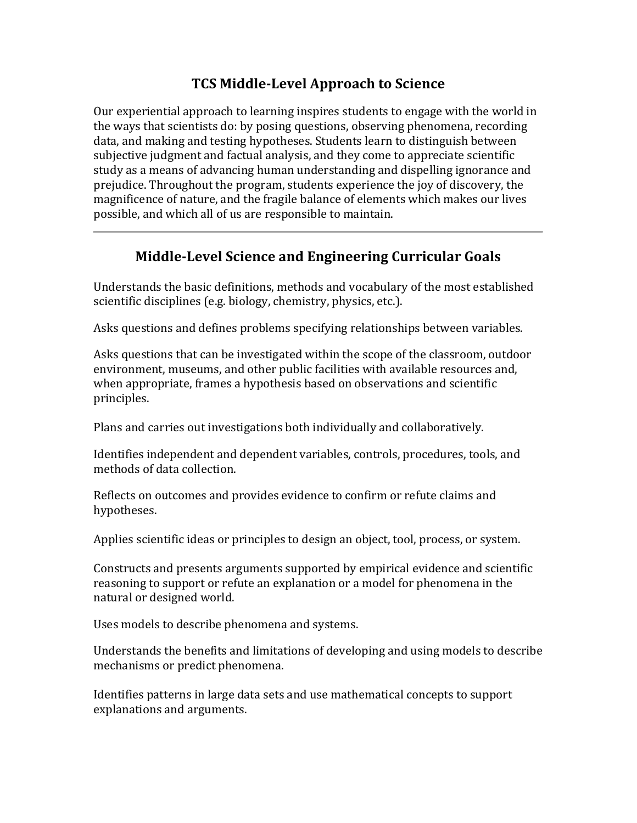# **TCS Middle-Level Approach to Science**

Our experiential approach to learning inspires students to engage with the world in the ways that scientists do: by posing questions, observing phenomena, recording data, and making and testing hypotheses. Students learn to distinguish between subjective judgment and factual analysis, and they come to appreciate scientific study as a means of advancing human understanding and dispelling ignorance and prejudice. Throughout the program, students experience the joy of discovery, the magnificence of nature, and the fragile balance of elements which makes our lives possible, and which all of us are responsible to maintain.

# **Middle-Level Science and Engineering Curricular Goals**

Understands the basic definitions, methods and vocabulary of the most established scientific disciplines (e.g. biology, chemistry, physics, etc.).

Asks questions and defines problems specifying relationships between variables.

Asks questions that can be investigated within the scope of the classroom, outdoor environment, museums, and other public facilities with available resources and, when appropriate, frames a hypothesis based on observations and scientific principles.

Plans and carries out investigations both individually and collaboratively.

Identifies independent and dependent variables, controls, procedures, tools, and methods of data collection.

Reflects on outcomes and provides evidence to confirm or refute claims and hypotheses.

Applies scientific ideas or principles to design an object, tool, process, or system.

Constructs and presents arguments supported by empirical evidence and scientific reasoning to support or refute an explanation or a model for phenomena in the natural or designed world.

Uses models to describe phenomena and systems.

Understands the benefits and limitations of developing and using models to describe mechanisms or predict phenomena.

Identifies patterns in large data sets and use mathematical concepts to support explanations and arguments.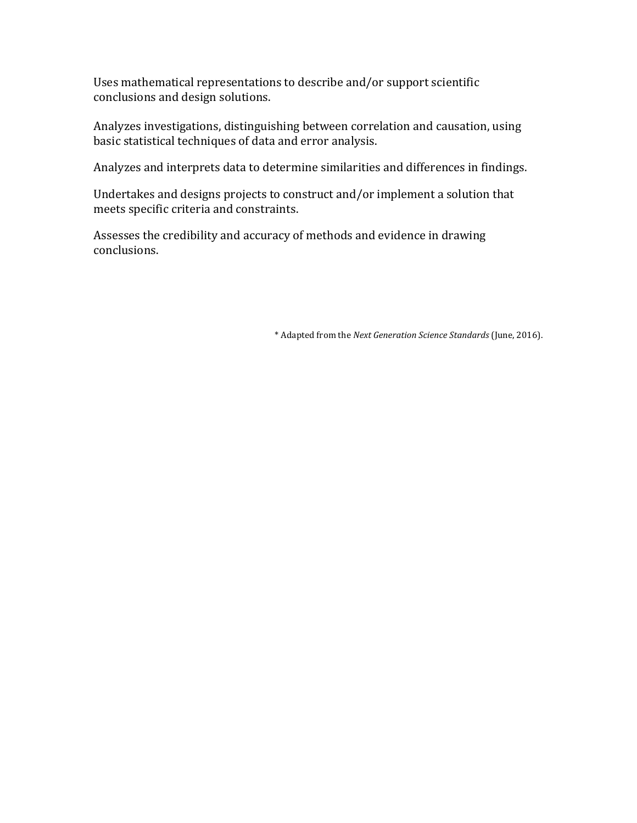Uses mathematical representations to describe and/or support scientific conclusions and design solutions.

Analyzes investigations, distinguishing between correlation and causation, using basic statistical techniques of data and error analysis.

Analyzes and interprets data to determine similarities and differences in findings.

Undertakes and designs projects to construct and/or implement a solution that meets specific criteria and constraints.

Assesses the credibility and accuracy of methods and evidence in drawing conclusions.

\* Adapted from the *Next Generation Science Standards* (June, 2016).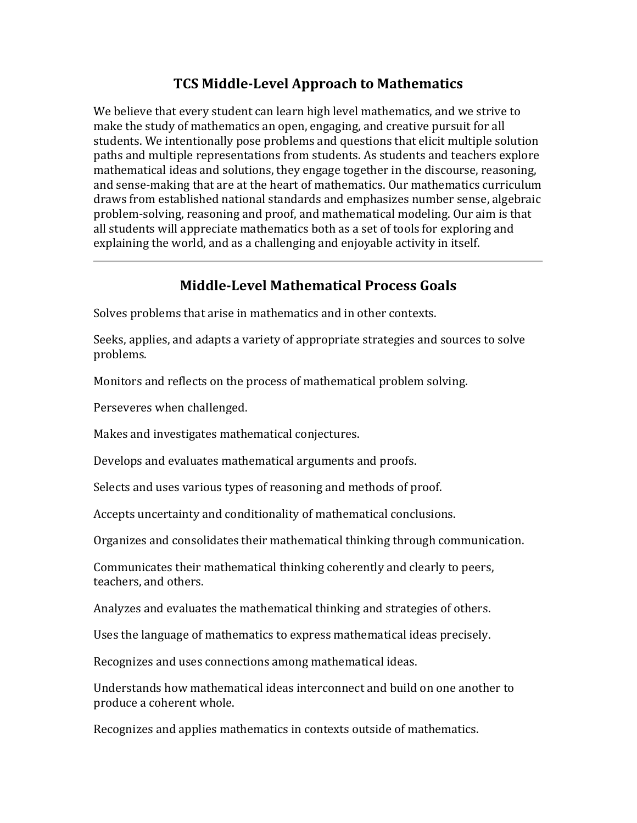### **TCS Middle-Level Approach to Mathematics**

We believe that every student can learn high level mathematics, and we strive to make the study of mathematics an open, engaging, and creative pursuit for all students. We intentionally pose problems and questions that elicit multiple solution paths and multiple representations from students. As students and teachers explore mathematical ideas and solutions, they engage together in the discourse, reasoning, and sense-making that are at the heart of mathematics. Our mathematics curriculum draws from established national standards and emphasizes number sense, algebraic problem-solving, reasoning and proof, and mathematical modeling. Our aim is that all students will appreciate mathematics both as a set of tools for exploring and explaining the world, and as a challenging and enjoyable activity in itself.

### **Middle-Level Mathematical Process Goals**

Solves problems that arise in mathematics and in other contexts.

Seeks, applies, and adapts a variety of appropriate strategies and sources to solve problems.

Monitors and reflects on the process of mathematical problem solving.

Perseveres when challenged.

Makes and investigates mathematical conjectures.

Develops and evaluates mathematical arguments and proofs.

Selects and uses various types of reasoning and methods of proof.

Accepts uncertainty and conditionality of mathematical conclusions.

Organizes and consolidates their mathematical thinking through communication.

Communicates their mathematical thinking coherently and clearly to peers, teachers, and others.

Analyzes and evaluates the mathematical thinking and strategies of others.

Uses the language of mathematics to express mathematical ideas precisely.

Recognizes and uses connections among mathematical ideas.

Understands how mathematical ideas interconnect and build on one another to produce a coherent whole.

Recognizes and applies mathematics in contexts outside of mathematics.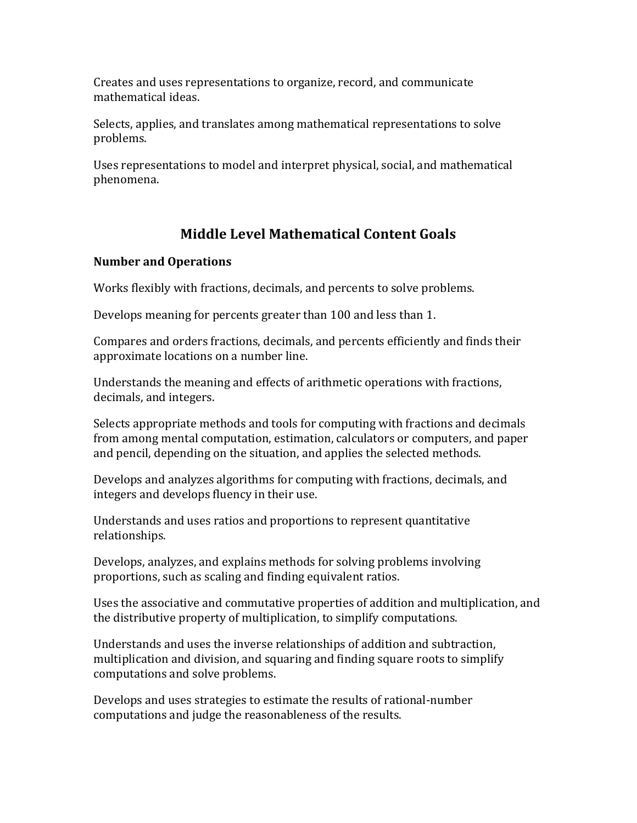Creates and uses representations to organize, record, and communicate mathematical ideas.

Selects, applies, and translates among mathematical representations to solve problems.

Uses representations to model and interpret physical, social, and mathematical phenomena.

# **Middle Level Mathematical Content Goals**

### **Number and Operations**

Works flexibly with fractions, decimals, and percents to solve problems.

Develops meaning for percents greater than 100 and less than 1.

Compares and orders fractions, decimals, and percents efficiently and finds their approximate locations on a number line.

Understands the meaning and effects of arithmetic operations with fractions, decimals, and integers.

Selects appropriate methods and tools for computing with fractions and decimals from among mental computation, estimation, calculators or computers, and paper and pencil, depending on the situation, and applies the selected methods.

Develops and analyzes algorithms for computing with fractions, decimals, and integers and develops fluency in their use.

Understands and uses ratios and proportions to represent quantitative relationships.

Develops, analyzes, and explains methods for solving problems involving proportions, such as scaling and finding equivalent ratios.

Uses the associative and commutative properties of addition and multiplication, and the distributive property of multiplication, to simplify computations.

Understands and uses the inverse relationships of addition and subtraction, multiplication and division, and squaring and finding square roots to simplify computations and solve problems.

Develops and uses strategies to estimate the results of rational-number computations and judge the reasonableness of the results.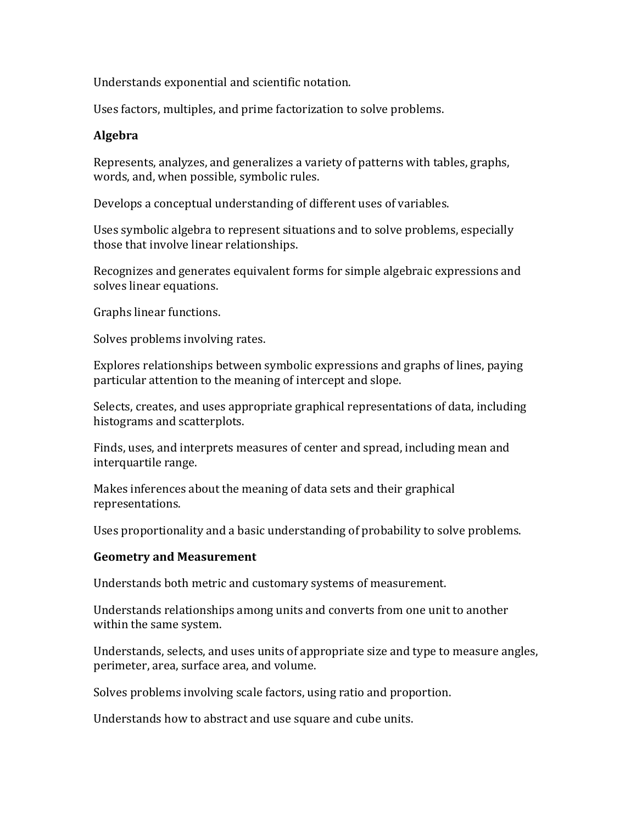Understands exponential and scientific notation.

Uses factors, multiples, and prime factorization to solve problems.

#### **Algebra**

Represents, analyzes, and generalizes a variety of patterns with tables, graphs, words, and, when possible, symbolic rules.

Develops a conceptual understanding of different uses of variables.

Uses symbolic algebra to represent situations and to solve problems, especially those that involve linear relationships.

Recognizes and generates equivalent forms for simple algebraic expressions and solves linear equations.

Graphs linear functions.

Solves problems involving rates.

Explores relationships between symbolic expressions and graphs of lines, paying particular attention to the meaning of intercept and slope.

Selects, creates, and uses appropriate graphical representations of data, including histograms and scatterplots.

Finds, uses, and interprets measures of center and spread, including mean and interquartile range.

Makes inferences about the meaning of data sets and their graphical representations.

Uses proportionality and a basic understanding of probability to solve problems.

#### **Geometry and Measurement**

Understands both metric and customary systems of measurement.

Understands relationships among units and converts from one unit to another within the same system.

Understands, selects, and uses units of appropriate size and type to measure angles, perimeter, area, surface area, and volume.

Solves problems involving scale factors, using ratio and proportion.

Understands how to abstract and use square and cube units.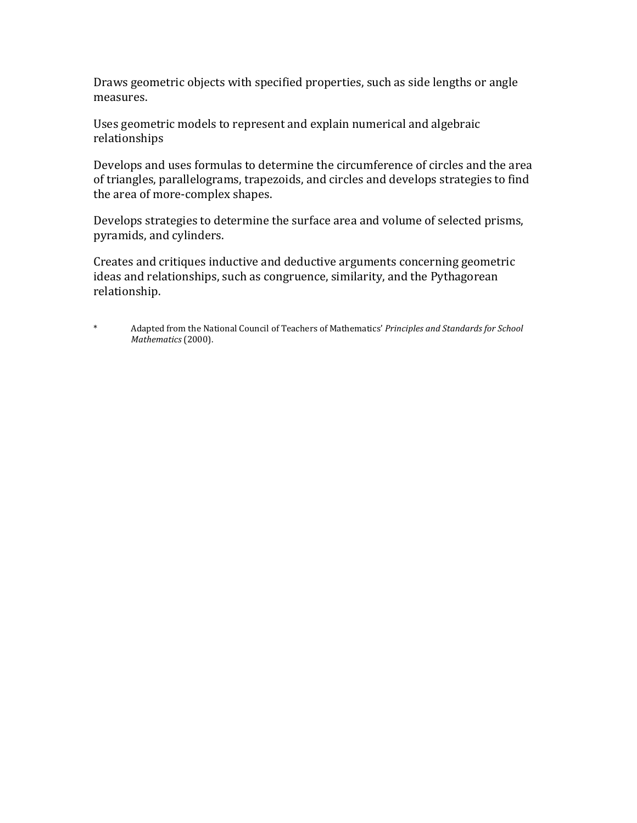Draws geometric objects with specified properties, such as side lengths or angle measures.

Uses geometric models to represent and explain numerical and algebraic relationships

Develops and uses formulas to determine the circumference of circles and the area of triangles, parallelograms, trapezoids, and circles and develops strategies to find the area of more-complex shapes.

Develops strategies to determine the surface area and volume of selected prisms, pyramids, and cylinders.

Creates and critiques inductive and deductive arguments concerning geometric ideas and relationships, such as congruence, similarity, and the Pythagorean relationship.

\* Adapted from the National Council of Teachers of Mathematics' *Principles and Standards for School Mathematics* (2000).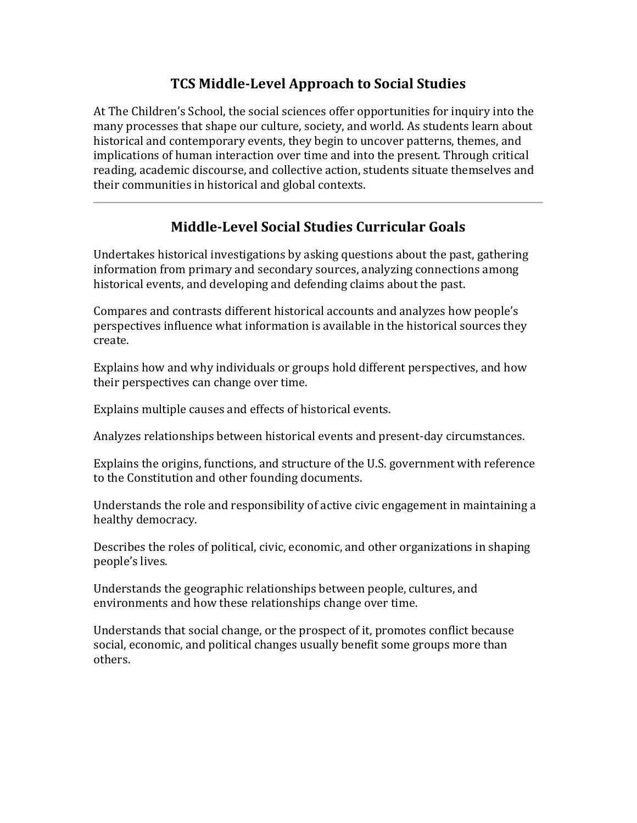# **TCS Middle-Level Approach to Social Studies**

At The Children's School, the social sciences offer opportunities for inquiry into the many processes that shape our culture, society, and world. As students learn about historical and contemporary events, they begin to uncover patterns, themes, and implications of human interaction over time and into the present. Through critical reading, academic discourse, and collective action, students situate themselves and their communities in historical and global contexts.

# **Middle-Level Social Studies Curricular Goals**

Undertakes historical investigations by asking questions about the past, gathering information from primary and secondary sources, analyzing connections among historical events, and developing and defending claims about the past.

Compares and contrasts different historical accounts and analyzes how people's perspectives influence what information is available in the historical sources they create.

Explains how and why individuals or groups hold different perspectives, and how their perspectives can change over time.

Explains multiple causes and effects of historical events.

Analyzes relationships between historical events and present-day circumstances.

Explains the origins, functions, and structure of the U.S. government with reference to the Constitution and other founding documents.

Understands the role and responsibility of active civic engagement in maintaining a healthy democracy.

Describes the roles of political, civic, economic, and other organizations in shaping people's lives.

Understands the geographic relationships between people, cultures, and environments and how these relationships change over time.

Understands that social change, or the prospect of it, promotes conflict because social, economic, and political changes usually benefit some groups more than others.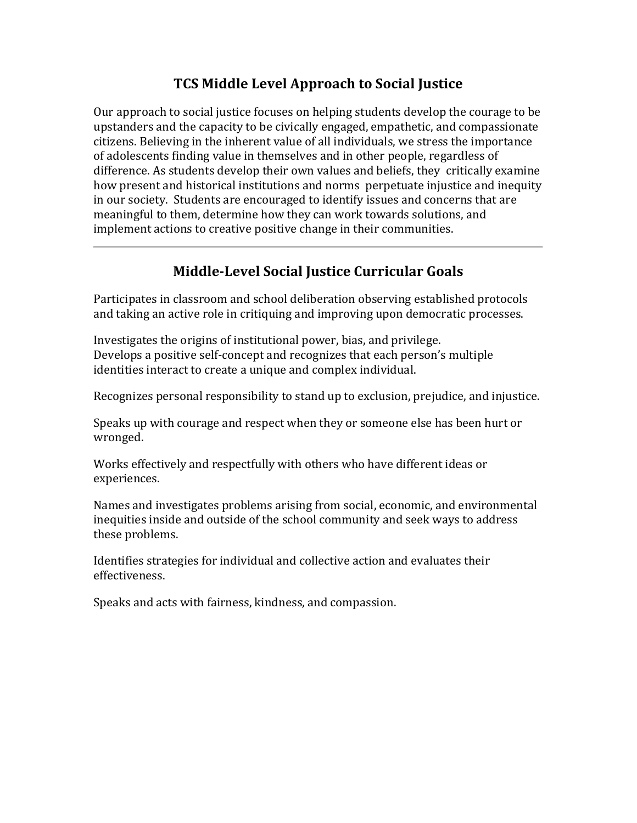# **TCS Middle Level Approach to Social Justice**

Our approach to social justice focuses on helping students develop the courage to be upstanders and the capacity to be civically engaged, empathetic, and compassionate citizens. Believing in the inherent value of all individuals, we stress the importance of adolescents finding value in themselves and in other people, regardless of difference. As students develop their own values and beliefs, they critically examine how present and historical institutions and norms perpetuate injustice and inequity in our society. Students are encouraged to identify issues and concerns that are meaningful to them, determine how they can work towards solutions, and implement actions to creative positive change in their communities.

# **Middle-Level Social Justice Curricular Goals**

Participates in classroom and school deliberation observing established protocols and taking an active role in critiquing and improving upon democratic processes.

Investigates the origins of institutional power, bias, and privilege. Develops a positive self-concept and recognizes that each person's multiple identities interact to create a unique and complex individual.

Recognizes personal responsibility to stand up to exclusion, prejudice, and injustice.

Speaks up with courage and respect when they or someone else has been hurt or wronged.

Works effectively and respectfully with others who have different ideas or experiences.

Names and investigates problems arising from social, economic, and environmental inequities inside and outside of the school community and seek ways to address these problems.

Identifies strategies for individual and collective action and evaluates their effectiveness.

Speaks and acts with fairness, kindness, and compassion.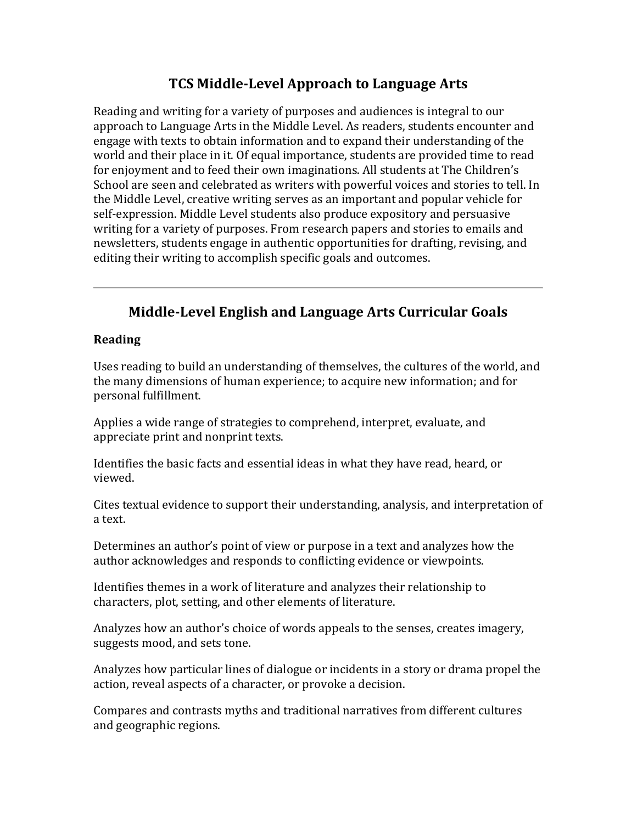### **TCS Middle-Level Approach to Language Arts**

Reading and writing for a variety of purposes and audiences is integral to our approach to Language Arts in the Middle Level. As readers, students encounter and engage with texts to obtain information and to expand their understanding of the world and their place in it. Of equal importance, students are provided time to read for enjoyment and to feed their own imaginations. All students at The Children's School are seen and celebrated as writers with powerful voices and stories to tell. In the Middle Level, creative writing serves as an important and popular vehicle for self-expression. Middle Level students also produce expository and persuasive writing for a variety of purposes. From research papers and stories to emails and newsletters, students engage in authentic opportunities for drafting, revising, and editing their writing to accomplish specific goals and outcomes.

# **Middle-Level English and Language Arts Curricular Goals**

#### **Reading**

Uses reading to build an understanding of themselves, the cultures of the world, and the many dimensions of human experience; to acquire new information; and for personal fulfillment.

Applies a wide range of strategies to comprehend, interpret, evaluate, and appreciate print and nonprint texts.

Identifies the basic facts and essential ideas in what they have read, heard, or viewed.

Cites textual evidence to support their understanding, analysis, and interpretation of a text.

Determines an author's point of view or purpose in a text and analyzes how the author acknowledges and responds to conflicting evidence or viewpoints.

Identifies themes in a work of literature and analyzes their relationship to characters, plot, setting, and other elements of literature.

Analyzes how an author's choice of words appeals to the senses, creates imagery, suggests mood, and sets tone.

Analyzes how particular lines of dialogue or incidents in a story or drama propel the action, reveal aspects of a character, or provoke a decision.

Compares and contrasts myths and traditional narratives from different cultures and geographic regions.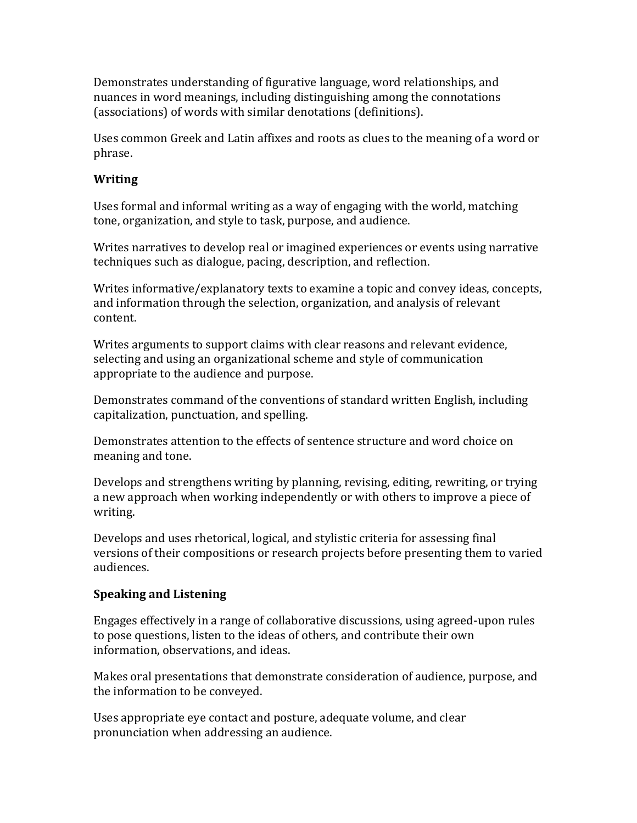Demonstrates understanding of figurative language, word relationships, and nuances in word meanings, including distinguishing among the connotations (associations) of words with similar denotations (definitions).

Uses common Greek and Latin affixes and roots as clues to the meaning of a word or phrase.

#### **Writing**

Uses formal and informal writing as a way of engaging with the world, matching tone, organization, and style to task, purpose, and audience.

Writes narratives to develop real or imagined experiences or events using narrative techniques such as dialogue, pacing, description, and reflection.

Writes informative/explanatory texts to examine a topic and convey ideas, concepts, and information through the selection, organization, and analysis of relevant content.

Writes arguments to support claims with clear reasons and relevant evidence, selecting and using an organizational scheme and style of communication appropriate to the audience and purpose.

Demonstrates command of the conventions of standard written English, including capitalization, punctuation, and spelling.

Demonstrates attention to the effects of sentence structure and word choice on meaning and tone.

Develops and strengthens writing by planning, revising, editing, rewriting, or trying a new approach when working independently or with others to improve a piece of writing.

Develops and uses rhetorical, logical, and stylistic criteria for assessing final versions of their compositions or research projects before presenting them to varied audiences.

#### **Speaking and Listening**

Engages effectively in a range of collaborative discussions, using agreed-upon rules to pose questions, listen to the ideas of others, and contribute their own information, observations, and ideas.

Makes oral presentations that demonstrate consideration of audience, purpose, and the information to be conveyed.

Uses appropriate eye contact and posture, adequate volume, and clear pronunciation when addressing an audience.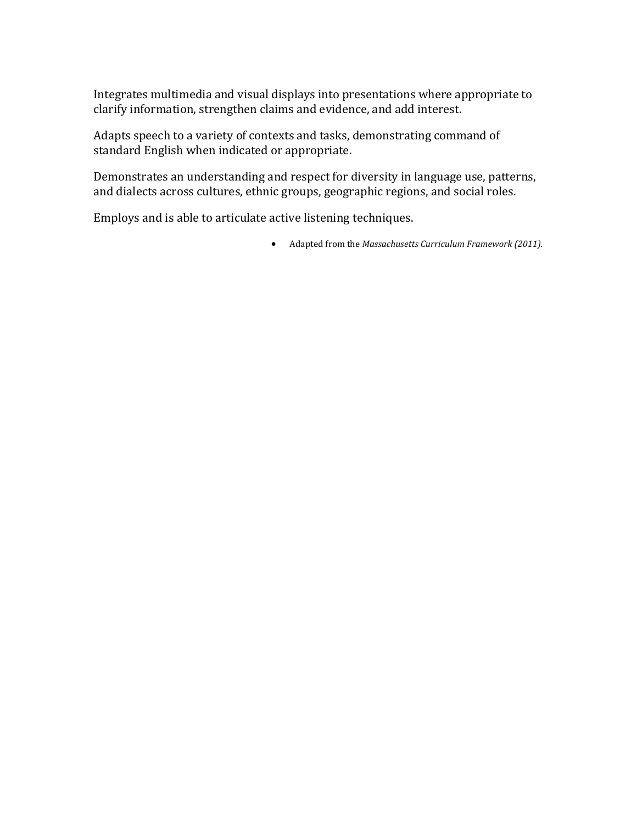Integrates multimedia and visual displays into presentations where appropriate to clarify information, strengthen claims and evidence, and add interest.

Adapts speech to a variety of contexts and tasks, demonstrating command of standard English when indicated or appropriate.

Demonstrates an understanding and respect for diversity in language use, patterns, and dialects across cultures, ethnic groups, geographic regions, and social roles.

Employs and is able to articulate active listening techniques.

• Adapted from the *Massachusetts Curriculum Framework (2011).*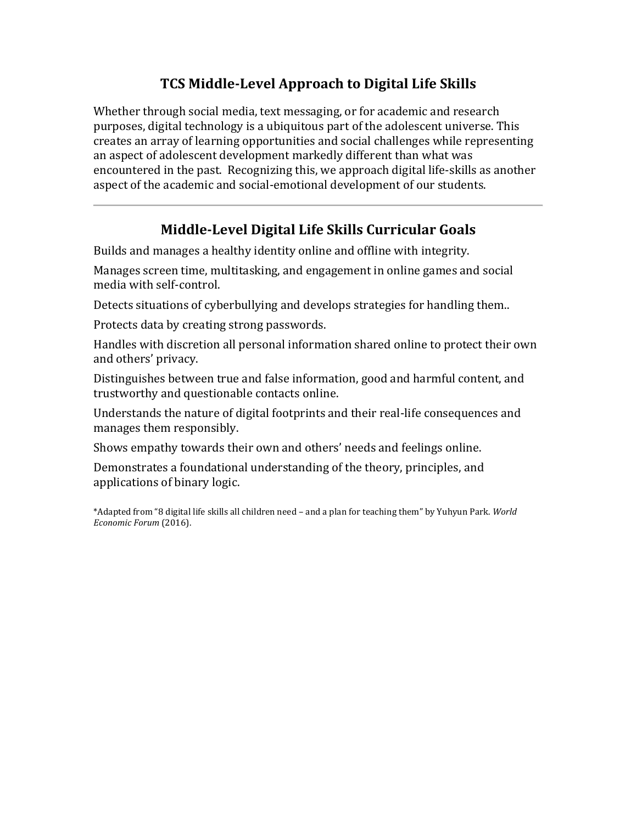# **TCS Middle-Level Approach to Digital Life Skills**

Whether through social media, text messaging, or for academic and research purposes, digital technology is a ubiquitous part of the adolescent universe. This creates an array of learning opportunities and social challenges while representing an aspect of adolescent development markedly different than what was encountered in the past. Recognizing this, we approach digital life-skills as another aspect of the academic and social-emotional development of our students.

# **Middle-Level Digital Life Skills Curricular Goals**

Builds and manages a healthy identity online and offline with integrity.

Manages screen time, multitasking, and engagement in online games and social media with self-control.

Detects situations of cyberbullying and develops strategies for handling them..

Protects data by creating strong passwords.

Handles with discretion all personal information shared online to protect their own and others' privacy.

Distinguishes between true and false information, good and harmful content, and trustworthy and questionable contacts online.

Understands the nature of digital footprints and their real-life consequences and manages them responsibly.

Shows empathy towards their own and others' needs and feelings online.

Demonstrates a foundational understanding of the theory, principles, and applications of binary logic.

\*Adapted from "8 digital life skills all children need – and a plan for teaching them" by Yuhyun Park. *World Economic Forum* (2016).